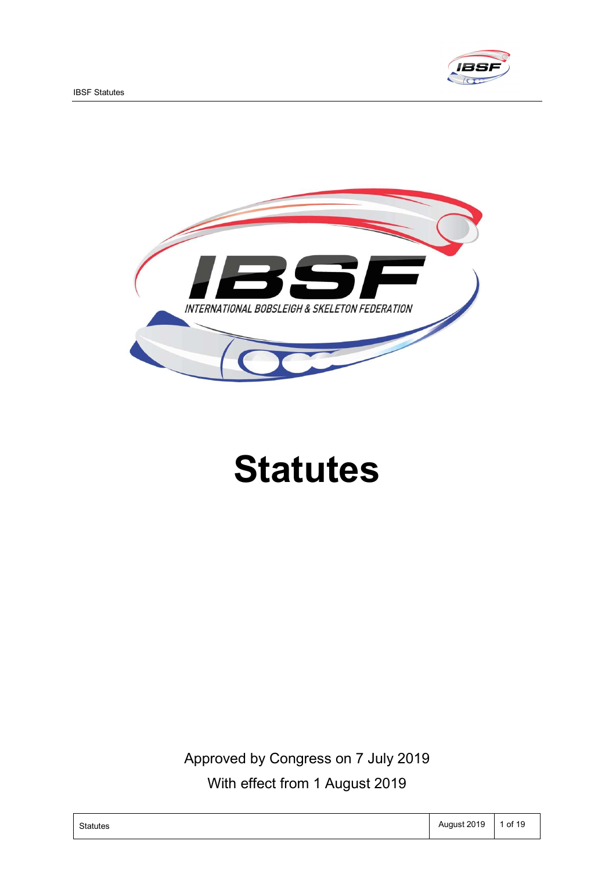



# **Statutes**

Approved by Congress on 7 July 2019 With effect from 1 August 2019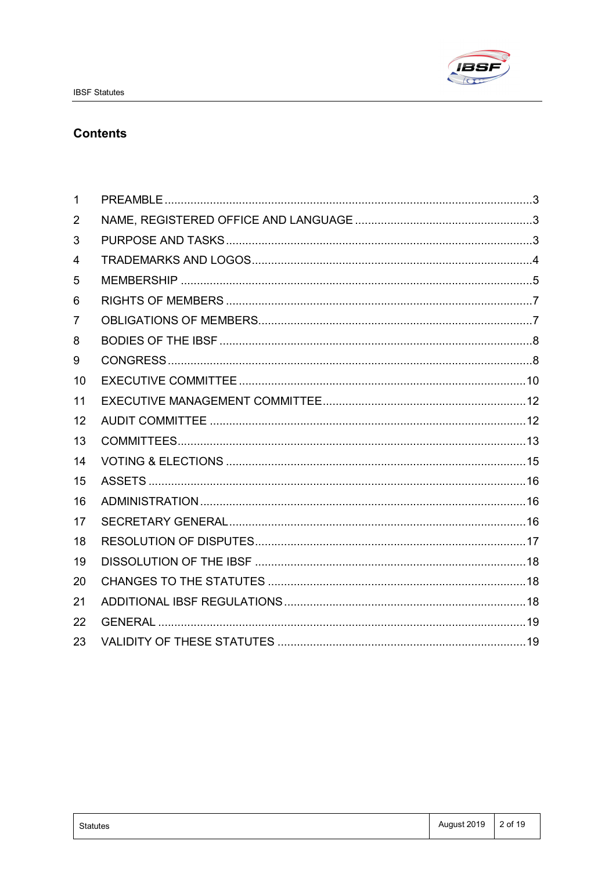

# **Contents**

| 1  |  |
|----|--|
| 2  |  |
| 3  |  |
| 4  |  |
| 5  |  |
| 6  |  |
| 7  |  |
| 8  |  |
| 9  |  |
| 10 |  |
| 11 |  |
| 12 |  |
| 13 |  |
| 14 |  |
| 15 |  |
| 16 |  |
| 17 |  |
| 18 |  |
| 19 |  |
| 20 |  |
| 21 |  |
| 22 |  |
| 23 |  |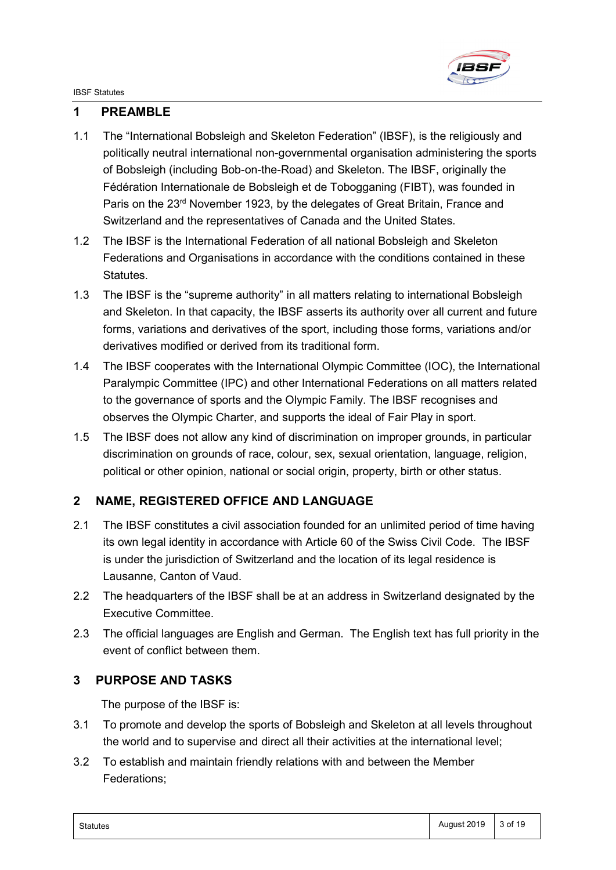IBSF Statutes



#### 1 PREAMBLE

- 1.1 The "International Bobsleigh and Skeleton Federation" (IBSF), is the religiously and politically neutral international non-governmental organisation administering the sports of Bobsleigh (including Bob-on-the-Road) and Skeleton. The IBSF, originally the Fédération Internationale de Bobsleigh et de Tobogganing (FIBT), was founded in Paris on the 23rd November 1923, by the delegates of Great Britain, France and Switzerland and the representatives of Canada and the United States.
- 1.2 The IBSF is the International Federation of all national Bobsleigh and Skeleton Federations and Organisations in accordance with the conditions contained in these Statutes.
- 1.3 The IBSF is the "supreme authority" in all matters relating to international Bobsleigh and Skeleton. In that capacity, the IBSF asserts its authority over all current and future forms, variations and derivatives of the sport, including those forms, variations and/or derivatives modified or derived from its traditional form.
- 1.4 The IBSF cooperates with the International Olympic Committee (IOC), the International Paralympic Committee (IPC) and other International Federations on all matters related to the governance of sports and the Olympic Family. The IBSF recognises and observes the Olympic Charter, and supports the ideal of Fair Play in sport.
- 1.5 The IBSF does not allow any kind of discrimination on improper grounds, in particular discrimination on grounds of race, colour, sex, sexual orientation, language, religion, political or other opinion, national or social origin, property, birth or other status.

# 2 NAME, REGISTERED OFFICE AND LANGUAGE

- 2.1 The IBSF constitutes a civil association founded for an unlimited period of time having its own legal identity in accordance with Article 60 of the Swiss Civil Code. The IBSF is under the jurisdiction of Switzerland and the location of its legal residence is Lausanne, Canton of Vaud.
- 2.2 The headquarters of the IBSF shall be at an address in Switzerland designated by the Executive Committee.
- 2.3 The official languages are English and German. The English text has full priority in the event of conflict between them.

# 3 PURPOSE AND TASKS

The purpose of the IBSF is:

- 3.1 To promote and develop the sports of Bobsleigh and Skeleton at all levels throughout the world and to supervise and direct all their activities at the international level;
- 3.2 To establish and maintain friendly relations with and between the Member Federations;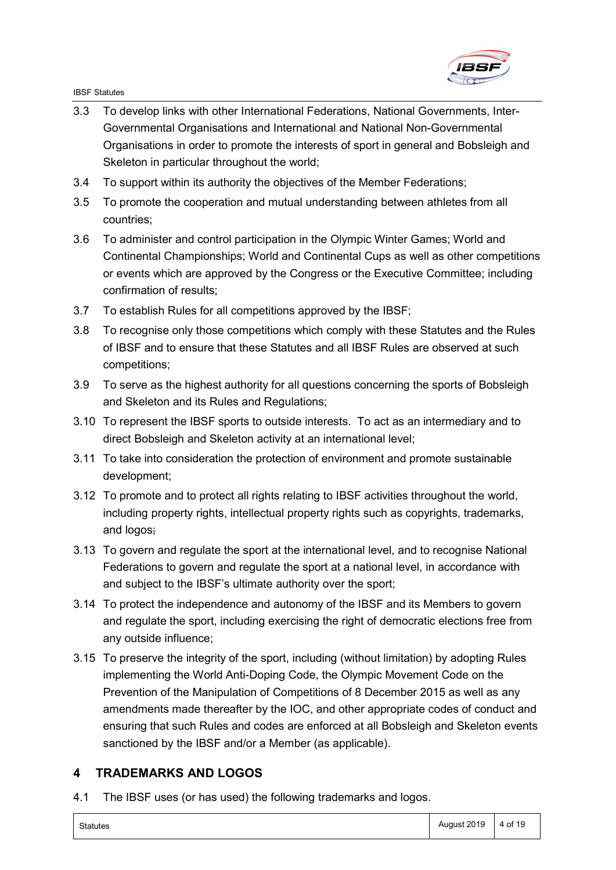

- 3.3 To develop links with other International Federations, National Governments, Inter-Governmental Organisations and International and National Non-Governmental Organisations in order to promote the interests of sport in general and Bobsleigh and Skeleton in particular throughout the world;
- 3.4 To support within its authority the objectives of the Member Federations;
- 3.5 To promote the cooperation and mutual understanding between athletes from all countries;
- 3.6 To administer and control participation in the Olympic Winter Games; World and Continental Championships; World and Continental Cups as well as other competitions or events which are approved by the Congress or the Executive Committee; including confirmation of results;
- 3.7 To establish Rules for all competitions approved by the IBSF;
- 3.8 To recognise only those competitions which comply with these Statutes and the Rules of IBSF and to ensure that these Statutes and all IBSF Rules are observed at such competitions;
- 3.9 To serve as the highest authority for all questions concerning the sports of Bobsleigh and Skeleton and its Rules and Regulations;
- 3.10 To represent the IBSF sports to outside interests. To act as an intermediary and to direct Bobsleigh and Skeleton activity at an international level;
- 3.11 To take into consideration the protection of environment and promote sustainable development;
- 3.12 To promote and to protect all rights relating to IBSF activities throughout the world, including property rights, intellectual property rights such as copyrights, trademarks, and logos;
- 3.13 To govern and regulate the sport at the international level, and to recognise National Federations to govern and regulate the sport at a national level, in accordance with and subject to the IBSF's ultimate authority over the sport;
- 3.14 To protect the independence and autonomy of the IBSF and its Members to govern and regulate the sport, including exercising the right of democratic elections free from any outside influence;
- 3.15 To preserve the integrity of the sport, including (without limitation) by adopting Rules implementing the World Anti-Doping Code, the Olympic Movement Code on the Prevention of the Manipulation of Competitions of 8 December 2015 as well as any amendments made thereafter by the IOC, and other appropriate codes of conduct and ensuring that such Rules and codes are enforced at all Bobsleigh and Skeleton events sanctioned by the IBSF and/or a Member (as applicable).

# 4 TRADEMARKS AND LOGOS

4.1 The IBSF uses (or has used) the following trademarks and logos.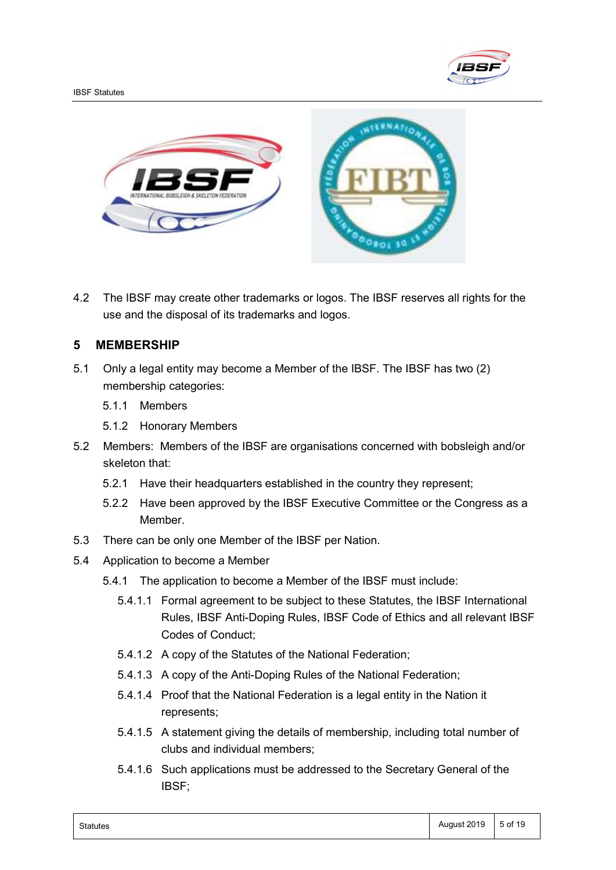



4.2 The IBSF may create other trademarks or logos. The IBSF reserves all rights for the use and the disposal of its trademarks and logos.

#### 5 MEMBERSHIP

- 5.1 Only a legal entity may become a Member of the IBSF. The IBSF has two (2) membership categories:
	- 5.1.1 Members
	- 5.1.2 Honorary Members
- 5.2 Members: Members of the IBSF are organisations concerned with bobsleigh and/or skeleton that:
	- 5.2.1 Have their headquarters established in the country they represent;
	- 5.2.2 Have been approved by the IBSF Executive Committee or the Congress as a Member.
- 5.3 There can be only one Member of the IBSF per Nation.
- 5.4 Application to become a Member
	- 5.4.1 The application to become a Member of the IBSF must include:
		- 5.4.1.1 Formal agreement to be subject to these Statutes, the IBSF International Rules, IBSF Anti-Doping Rules, IBSF Code of Ethics and all relevant IBSF Codes of Conduct;
		- 5.4.1.2 A copy of the Statutes of the National Federation;
		- 5.4.1.3 A copy of the Anti-Doping Rules of the National Federation;
		- 5.4.1.4 Proof that the National Federation is a legal entity in the Nation it represents;
		- 5.4.1.5 A statement giving the details of membership, including total number of clubs and individual members;
		- 5.4.1.6 Such applications must be addressed to the Secretary General of the IBSF;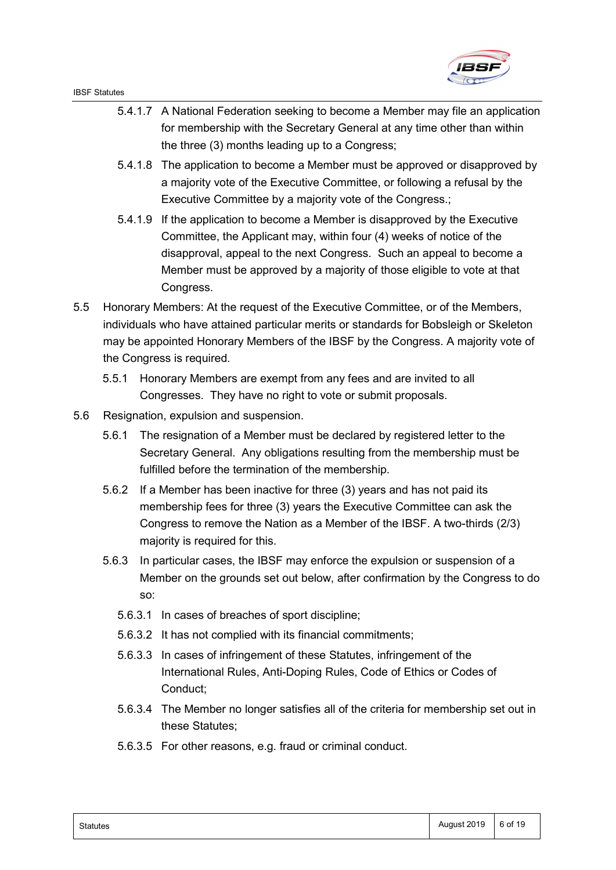

- 5.4.1.7 A National Federation seeking to become a Member may file an application for membership with the Secretary General at any time other than within the three (3) months leading up to a Congress;
- 5.4.1.8 The application to become a Member must be approved or disapproved by a majority vote of the Executive Committee, or following a refusal by the Executive Committee by a majority vote of the Congress.;
- 5.4.1.9 If the application to become a Member is disapproved by the Executive Committee, the Applicant may, within four (4) weeks of notice of the disapproval, appeal to the next Congress. Such an appeal to become a Member must be approved by a majority of those eligible to vote at that Congress.
- 5.5 Honorary Members: At the request of the Executive Committee, or of the Members, individuals who have attained particular merits or standards for Bobsleigh or Skeleton may be appointed Honorary Members of the IBSF by the Congress. A majority vote of the Congress is required.
	- 5.5.1 Honorary Members are exempt from any fees and are invited to all Congresses. They have no right to vote or submit proposals.
- 5.6 Resignation, expulsion and suspension.
	- 5.6.1 The resignation of a Member must be declared by registered letter to the Secretary General. Any obligations resulting from the membership must be fulfilled before the termination of the membership.
	- 5.6.2 If a Member has been inactive for three (3) years and has not paid its membership fees for three (3) years the Executive Committee can ask the Congress to remove the Nation as a Member of the IBSF. A two-thirds (2/3) majority is required for this.
	- 5.6.3 In particular cases, the IBSF may enforce the expulsion or suspension of a Member on the grounds set out below, after confirmation by the Congress to do so:
		- 5.6.3.1 In cases of breaches of sport discipline;
		- 5.6.3.2 It has not complied with its financial commitments;
		- 5.6.3.3 In cases of infringement of these Statutes, infringement of the International Rules, Anti-Doping Rules, Code of Ethics or Codes of Conduct;
		- 5.6.3.4 The Member no longer satisfies all of the criteria for membership set out in these Statutes;
		- 5.6.3.5 For other reasons, e.g. fraud or criminal conduct.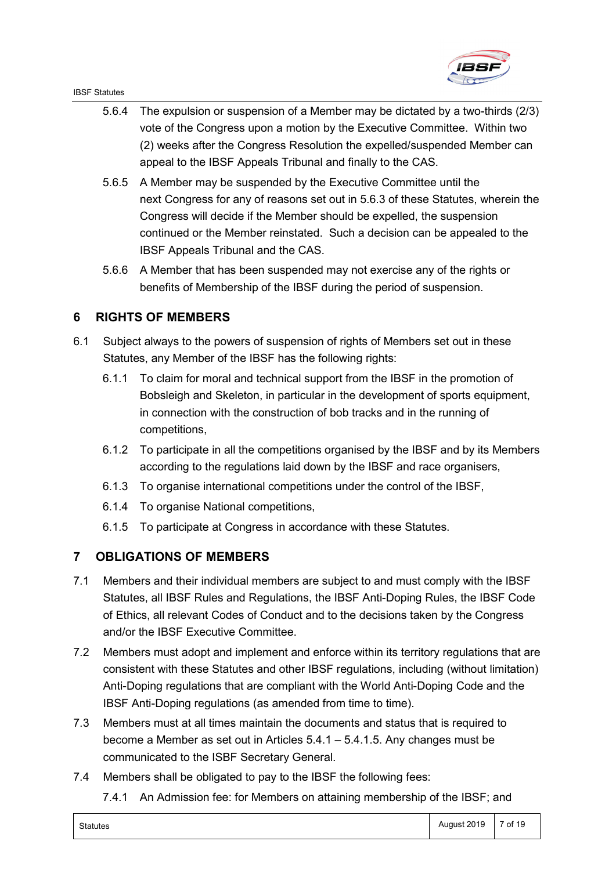

- 5.6.4 The expulsion or suspension of a Member may be dictated by a two-thirds (2/3) vote of the Congress upon a motion by the Executive Committee. Within two (2) weeks after the Congress Resolution the expelled/suspended Member can appeal to the IBSF Appeals Tribunal and finally to the CAS.
- 5.6.5 A Member may be suspended by the Executive Committee until the next Congress for any of reasons set out in 5.6.3 of these Statutes, wherein the Congress will decide if the Member should be expelled, the suspension continued or the Member reinstated. Such a decision can be appealed to the IBSF Appeals Tribunal and the CAS.
- 5.6.6 A Member that has been suspended may not exercise any of the rights or benefits of Membership of the IBSF during the period of suspension.

# 6 RIGHTS OF MEMBERS

- 6.1 Subject always to the powers of suspension of rights of Members set out in these Statutes, any Member of the IBSF has the following rights:
	- 6.1.1 To claim for moral and technical support from the IBSF in the promotion of Bobsleigh and Skeleton, in particular in the development of sports equipment, in connection with the construction of bob tracks and in the running of competitions,
	- 6.1.2 To participate in all the competitions organised by the IBSF and by its Members according to the regulations laid down by the IBSF and race organisers,
	- 6.1.3 To organise international competitions under the control of the IBSF,
	- 6.1.4 To organise National competitions,
	- 6.1.5 To participate at Congress in accordance with these Statutes.

# 7 OBLIGATIONS OF MEMBERS

- 7.1 Members and their individual members are subject to and must comply with the IBSF Statutes, all IBSF Rules and Regulations, the IBSF Anti-Doping Rules, the IBSF Code of Ethics, all relevant Codes of Conduct and to the decisions taken by the Congress and/or the IBSF Executive Committee.
- 7.2 Members must adopt and implement and enforce within its territory regulations that are consistent with these Statutes and other IBSF regulations, including (without limitation) Anti-Doping regulations that are compliant with the World Anti-Doping Code and the IBSF Anti-Doping regulations (as amended from time to time).
- 7.3 Members must at all times maintain the documents and status that is required to become a Member as set out in Articles 5.4.1 – 5.4.1.5. Any changes must be communicated to the ISBF Secretary General.
- 7.4 Members shall be obligated to pay to the IBSF the following fees:
	- 7.4.1 An Admission fee: for Members on attaining membership of the IBSF; and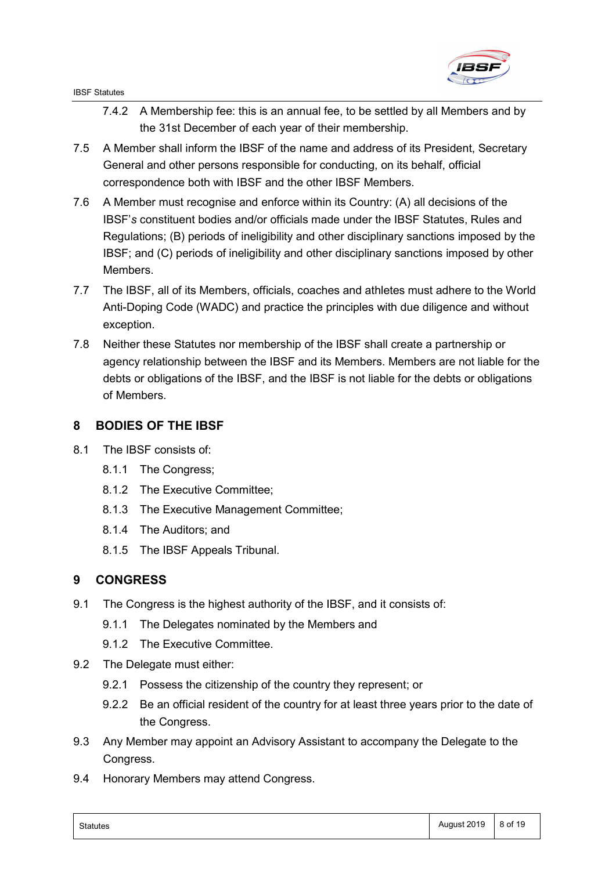

- 7.4.2 A Membership fee: this is an annual fee, to be settled by all Members and by the 31st December of each year of their membership.
- 7.5 A Member shall inform the IBSF of the name and address of its President, Secretary General and other persons responsible for conducting, on its behalf, official correspondence both with IBSF and the other IBSF Members.
- 7.6 A Member must recognise and enforce within its Country: (A) all decisions of the IBSF's constituent bodies and/or officials made under the IBSF Statutes, Rules and Regulations; (B) periods of ineligibility and other disciplinary sanctions imposed by the IBSF; and (C) periods of ineligibility and other disciplinary sanctions imposed by other **Members**
- 7.7 The IBSF, all of its Members, officials, coaches and athletes must adhere to the World Anti-Doping Code (WADC) and practice the principles with due diligence and without exception.
- 7.8 Neither these Statutes nor membership of the IBSF shall create a partnership or agency relationship between the IBSF and its Members. Members are not liable for the debts or obligations of the IBSF, and the IBSF is not liable for the debts or obligations of Members.

# 8 BODIES OF THE IBSF

- 8.1 The IBSF consists of:
	- 8.1.1 The Congress;
	- 8.1.2 The Executive Committee;
	- 8.1.3 The Executive Management Committee;
	- 8.1.4 The Auditors; and
	- 8.1.5 The IBSF Appeals Tribunal.

# 9 CONGRESS

- 9.1 The Congress is the highest authority of the IBSF, and it consists of:
	- 9.1.1 The Delegates nominated by the Members and
	- 9.1.2 The Executive Committee.
- 9.2 The Delegate must either:
	- 9.2.1 Possess the citizenship of the country they represent; or
	- 9.2.2 Be an official resident of the country for at least three years prior to the date of the Congress.
- 9.3 Any Member may appoint an Advisory Assistant to accompany the Delegate to the Congress.
- 9.4 Honorary Members may attend Congress.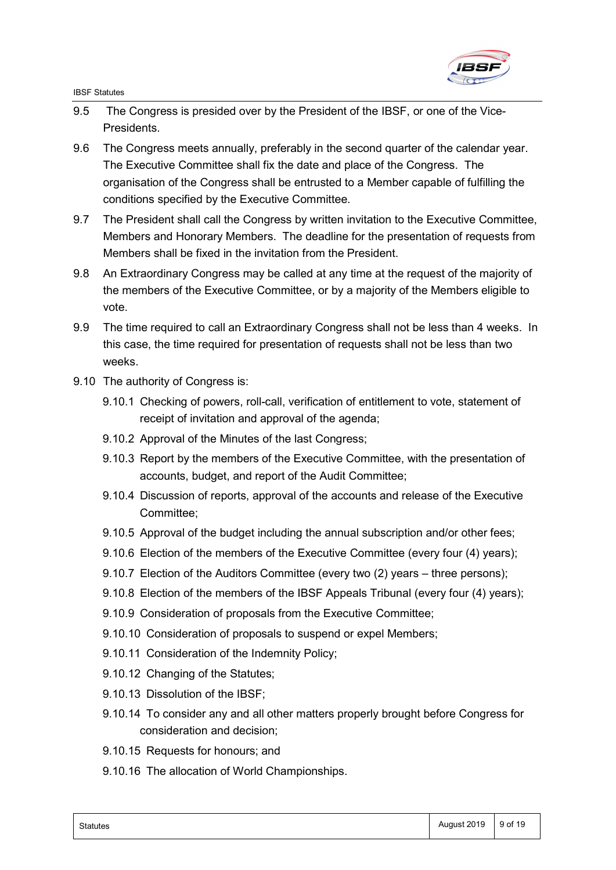

- 9.5 The Congress is presided over by the President of the IBSF, or one of the Vice-Presidents.
- 9.6 The Congress meets annually, preferably in the second quarter of the calendar year. The Executive Committee shall fix the date and place of the Congress. The organisation of the Congress shall be entrusted to a Member capable of fulfilling the conditions specified by the Executive Committee.
- 9.7 The President shall call the Congress by written invitation to the Executive Committee, Members and Honorary Members. The deadline for the presentation of requests from Members shall be fixed in the invitation from the President.
- 9.8 An Extraordinary Congress may be called at any time at the request of the majority of the members of the Executive Committee, or by a majority of the Members eligible to vote.
- 9.9 The time required to call an Extraordinary Congress shall not be less than 4 weeks. In this case, the time required for presentation of requests shall not be less than two weeks.
- 9.10 The authority of Congress is:
	- 9.10.1 Checking of powers, roll-call, verification of entitlement to vote, statement of receipt of invitation and approval of the agenda;
	- 9.10.2 Approval of the Minutes of the last Congress;
	- 9.10.3 Report by the members of the Executive Committee, with the presentation of accounts, budget, and report of the Audit Committee;
	- 9.10.4 Discussion of reports, approval of the accounts and release of the Executive Committee;
	- 9.10.5 Approval of the budget including the annual subscription and/or other fees;
	- 9.10.6 Election of the members of the Executive Committee (every four (4) years);
	- 9.10.7 Election of the Auditors Committee (every two (2) years three persons);
	- 9.10.8 Election of the members of the IBSF Appeals Tribunal (every four (4) years);
	- 9.10.9 Consideration of proposals from the Executive Committee;
	- 9.10.10 Consideration of proposals to suspend or expel Members;
	- 9.10.11 Consideration of the Indemnity Policy;
	- 9.10.12 Changing of the Statutes;
	- 9.10.13 Dissolution of the IBSF;
	- 9.10.14 To consider any and all other matters properly brought before Congress for consideration and decision;
	- 9.10.15 Requests for honours; and
	- 9.10.16 The allocation of World Championships.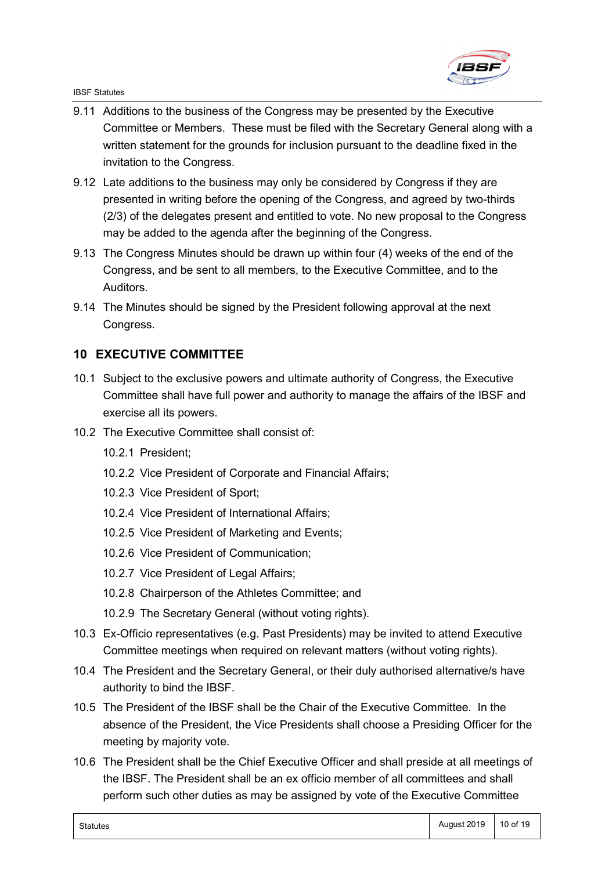

- 9.11 Additions to the business of the Congress may be presented by the Executive Committee or Members. These must be filed with the Secretary General along with a written statement for the grounds for inclusion pursuant to the deadline fixed in the invitation to the Congress.
- 9.12 Late additions to the business may only be considered by Congress if they are presented in writing before the opening of the Congress, and agreed by two-thirds (2/3) of the delegates present and entitled to vote. No new proposal to the Congress may be added to the agenda after the beginning of the Congress.
- 9.13 The Congress Minutes should be drawn up within four (4) weeks of the end of the Congress, and be sent to all members, to the Executive Committee, and to the Auditors.
- 9.14 The Minutes should be signed by the President following approval at the next Congress.

# 10 EXECUTIVE COMMITTEE

- 10.1 Subject to the exclusive powers and ultimate authority of Congress, the Executive Committee shall have full power and authority to manage the affairs of the IBSF and exercise all its powers.
- 10.2 The Executive Committee shall consist of:
	- 10.2.1 President;
	- 10.2.2 Vice President of Corporate and Financial Affairs;
	- 10.2.3 Vice President of Sport;
	- 10.2.4 Vice President of International Affairs;
	- 10.2.5 Vice President of Marketing and Events;
	- 10.2.6 Vice President of Communication;
	- 10.2.7 Vice President of Legal Affairs;
	- 10.2.8 Chairperson of the Athletes Committee; and
	- 10.2.9 The Secretary General (without voting rights).
- 10.3 Ex-Officio representatives (e.g. Past Presidents) may be invited to attend Executive Committee meetings when required on relevant matters (without voting rights).
- 10.4 The President and the Secretary General, or their duly authorised alternative/s have authority to bind the IBSF.
- 10.5 The President of the IBSF shall be the Chair of the Executive Committee. In the absence of the President, the Vice Presidents shall choose a Presiding Officer for the meeting by majority vote.
- 10.6 The President shall be the Chief Executive Officer and shall preside at all meetings of the IBSF. The President shall be an ex officio member of all committees and shall perform such other duties as may be assigned by vote of the Executive Committee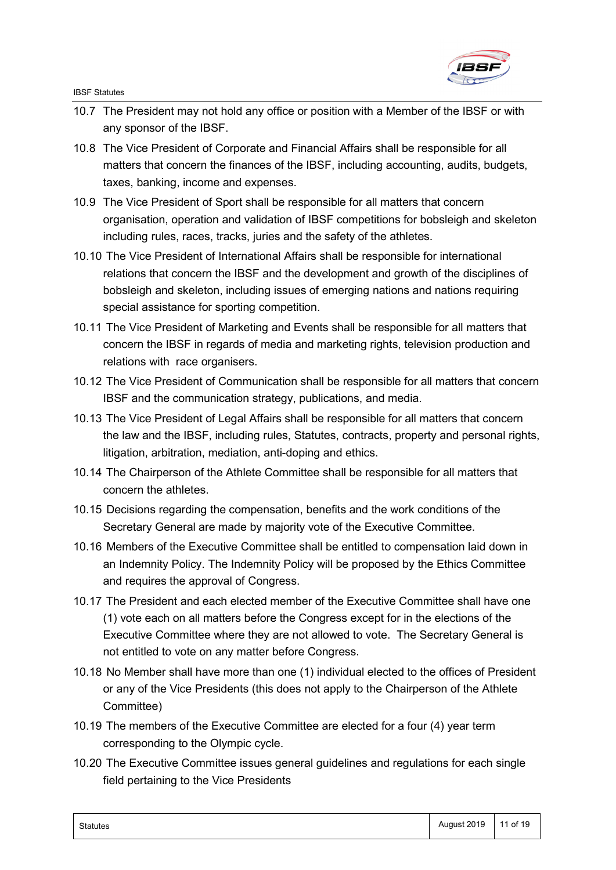

- 10.7 The President may not hold any office or position with a Member of the IBSF or with any sponsor of the IBSF.
- 10.8 The Vice President of Corporate and Financial Affairs shall be responsible for all matters that concern the finances of the IBSF, including accounting, audits, budgets, taxes, banking, income and expenses.
- 10.9 The Vice President of Sport shall be responsible for all matters that concern organisation, operation and validation of IBSF competitions for bobsleigh and skeleton including rules, races, tracks, juries and the safety of the athletes.
- 10.10 The Vice President of International Affairs shall be responsible for international relations that concern the IBSF and the development and growth of the disciplines of bobsleigh and skeleton, including issues of emerging nations and nations requiring special assistance for sporting competition.
- 10.11 The Vice President of Marketing and Events shall be responsible for all matters that concern the IBSF in regards of media and marketing rights, television production and relations with race organisers.
- 10.12 The Vice President of Communication shall be responsible for all matters that concern IBSF and the communication strategy, publications, and media.
- 10.13 The Vice President of Legal Affairs shall be responsible for all matters that concern the law and the IBSF, including rules, Statutes, contracts, property and personal rights, litigation, arbitration, mediation, anti-doping and ethics.
- 10.14 The Chairperson of the Athlete Committee shall be responsible for all matters that concern the athletes.
- 10.15 Decisions regarding the compensation, benefits and the work conditions of the Secretary General are made by majority vote of the Executive Committee.
- 10.16 Members of the Executive Committee shall be entitled to compensation laid down in an Indemnity Policy. The Indemnity Policy will be proposed by the Ethics Committee and requires the approval of Congress.
- 10.17 The President and each elected member of the Executive Committee shall have one (1) vote each on all matters before the Congress except for in the elections of the Executive Committee where they are not allowed to vote. The Secretary General is not entitled to vote on any matter before Congress.
- 10.18 No Member shall have more than one (1) individual elected to the offices of President or any of the Vice Presidents (this does not apply to the Chairperson of the Athlete Committee)
- 10.19 The members of the Executive Committee are elected for a four (4) year term corresponding to the Olympic cycle.
- 10.20 The Executive Committee issues general guidelines and regulations for each single field pertaining to the Vice Presidents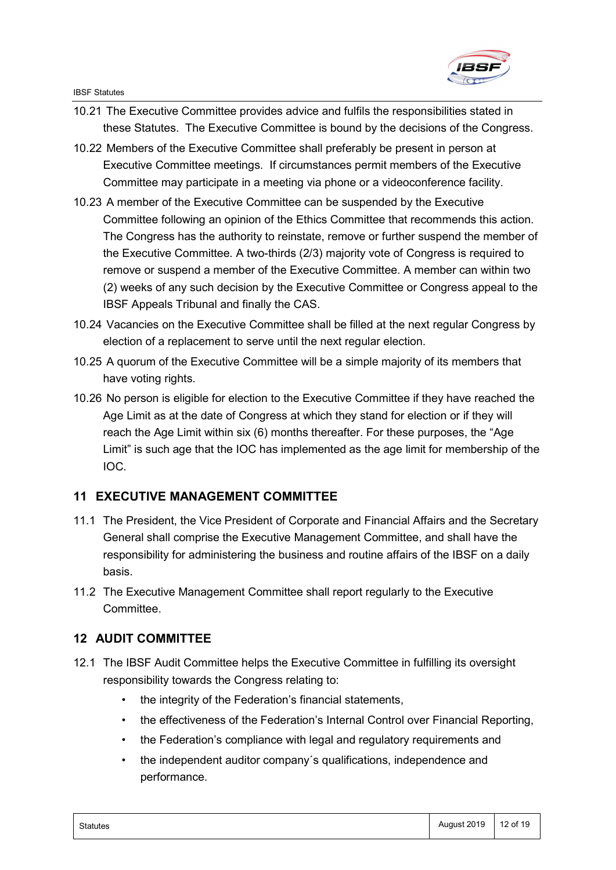

- 10.21 The Executive Committee provides advice and fulfils the responsibilities stated in these Statutes. The Executive Committee is bound by the decisions of the Congress.
- 10.22 Members of the Executive Committee shall preferably be present in person at Executive Committee meetings. If circumstances permit members of the Executive Committee may participate in a meeting via phone or a videoconference facility.
- 10.23 A member of the Executive Committee can be suspended by the Executive Committee following an opinion of the Ethics Committee that recommends this action. The Congress has the authority to reinstate, remove or further suspend the member of the Executive Committee. A two-thirds (2/3) majority vote of Congress is required to remove or suspend a member of the Executive Committee. A member can within two (2) weeks of any such decision by the Executive Committee or Congress appeal to the IBSF Appeals Tribunal and finally the CAS.
- 10.24 Vacancies on the Executive Committee shall be filled at the next regular Congress by election of a replacement to serve until the next regular election.
- 10.25 A quorum of the Executive Committee will be a simple majority of its members that have voting rights.
- 10.26 No person is eligible for election to the Executive Committee if they have reached the Age Limit as at the date of Congress at which they stand for election or if they will reach the Age Limit within six (6) months thereafter. For these purposes, the "Age Limit" is such age that the IOC has implemented as the age limit for membership of the IOC.

# 11 EXECUTIVE MANAGEMENT COMMITTEE

- 11.1 The President, the Vice President of Corporate and Financial Affairs and the Secretary General shall comprise the Executive Management Committee, and shall have the responsibility for administering the business and routine affairs of the IBSF on a daily basis.
- 11.2 The Executive Management Committee shall report regularly to the Executive **Committee**

#### 12 AUDIT COMMITTEE

- 12.1 The IBSF Audit Committee helps the Executive Committee in fulfilling its oversight responsibility towards the Congress relating to:
	- the integrity of the Federation's financial statements,
	- the effectiveness of the Federation's Internal Control over Financial Reporting,
	- the Federation's compliance with legal and regulatory requirements and
	- the independent auditor company´s qualifications, independence and performance.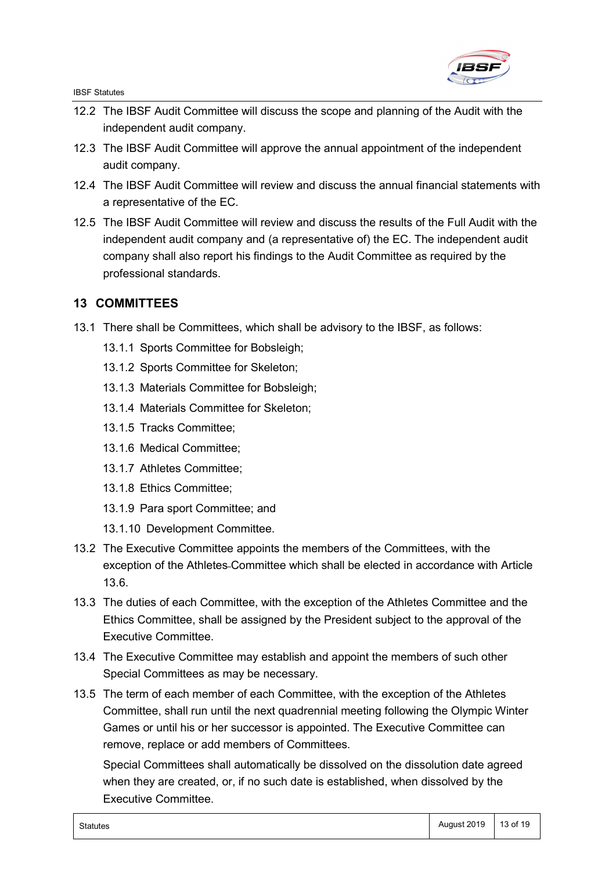- 12.2 The IBSF Audit Committee will discuss the scope and planning of the Audit with the independent audit company.
- 12.3 The IBSF Audit Committee will approve the annual appointment of the independent audit company.
- 12.4 The IBSF Audit Committee will review and discuss the annual financial statements with a representative of the EC.
- 12.5 The IBSF Audit Committee will review and discuss the results of the Full Audit with the independent audit company and (a representative of) the EC. The independent audit company shall also report his findings to the Audit Committee as required by the professional standards.

#### 13 COMMITTEES

- 13.1 There shall be Committees, which shall be advisory to the IBSF, as follows:
	- 13.1.1 Sports Committee for Bobsleigh;
	- 13.1.2 Sports Committee for Skeleton;
	- 13.1.3 Materials Committee for Bobsleigh;
	- 13.1.4 Materials Committee for Skeleton;
	- 13.1.5 Tracks Committee;
	- 13.1.6 Medical Committee;
	- 13.1.7 Athletes Committee;
	- 13.1.8 Ethics Committee;
	- 13.1.9 Para sport Committee; and
	- 13.1.10 Development Committee.
- 13.2 The Executive Committee appoints the members of the Committees, with the exception of the Athletes Committee which shall be elected in accordance with Article 13.6.
- 13.3 The duties of each Committee, with the exception of the Athletes Committee and the Ethics Committee, shall be assigned by the President subject to the approval of the Executive Committee.
- 13.4 The Executive Committee may establish and appoint the members of such other Special Committees as may be necessary.
- 13.5 The term of each member of each Committee, with the exception of the Athletes Committee, shall run until the next quadrennial meeting following the Olympic Winter Games or until his or her successor is appointed. The Executive Committee can remove, replace or add members of Committees.

Special Committees shall automatically be dissolved on the dissolution date agreed when they are created, or, if no such date is established, when dissolved by the Executive Committee.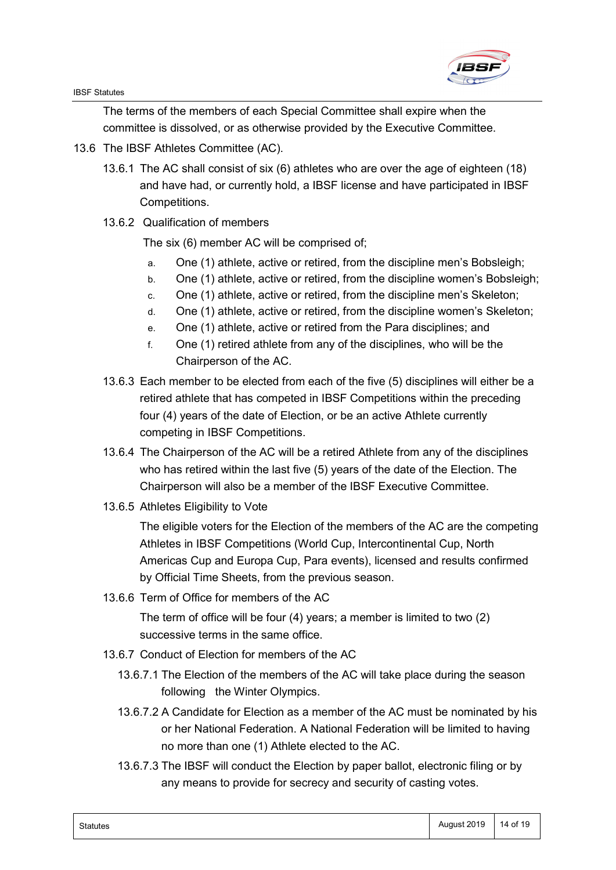

IBSF Statutes

The terms of the members of each Special Committee shall expire when the committee is dissolved, or as otherwise provided by the Executive Committee.

- 13.6 The IBSF Athletes Committee (AC).
	- 13.6.1 The AC shall consist of six (6) athletes who are over the age of eighteen (18) and have had, or currently hold, a IBSF license and have participated in IBSF Competitions.
	- 13.6.2 Qualification of members

The six (6) member AC will be comprised of;

- a. One (1) athlete, active or retired, from the discipline men's Bobsleigh;
- b. One (1) athlete, active or retired, from the discipline women's Bobsleigh;
- c. One (1) athlete, active or retired, from the discipline men's Skeleton;
- d. One (1) athlete, active or retired, from the discipline women's Skeleton;
- e. One (1) athlete, active or retired from the Para disciplines; and
- f. One (1) retired athlete from any of the disciplines, who will be the Chairperson of the AC.
- 13.6.3 Each member to be elected from each of the five (5) disciplines will either be a retired athlete that has competed in IBSF Competitions within the preceding four (4) years of the date of Election, or be an active Athlete currently competing in IBSF Competitions.
- 13.6.4 The Chairperson of the AC will be a retired Athlete from any of the disciplines who has retired within the last five (5) years of the date of the Election. The Chairperson will also be a member of the IBSF Executive Committee.
- 13.6.5 Athletes Eligibility to Vote

The eligible voters for the Election of the members of the AC are the competing Athletes in IBSF Competitions (World Cup, Intercontinental Cup, North Americas Cup and Europa Cup, Para events), licensed and results confirmed by Official Time Sheets, from the previous season.

13.6.6 Term of Office for members of the AC

The term of office will be four (4) years; a member is limited to two (2) successive terms in the same office.

- 13.6.7 Conduct of Election for members of the AC
	- 13.6.7.1 The Election of the members of the AC will take place during the season following the Winter Olympics.
	- 13.6.7.2 A Candidate for Election as a member of the AC must be nominated by his or her National Federation. A National Federation will be limited to having no more than one (1) Athlete elected to the AC.
	- 13.6.7.3 The IBSF will conduct the Election by paper ballot, electronic filing or by any means to provide for secrecy and security of casting votes.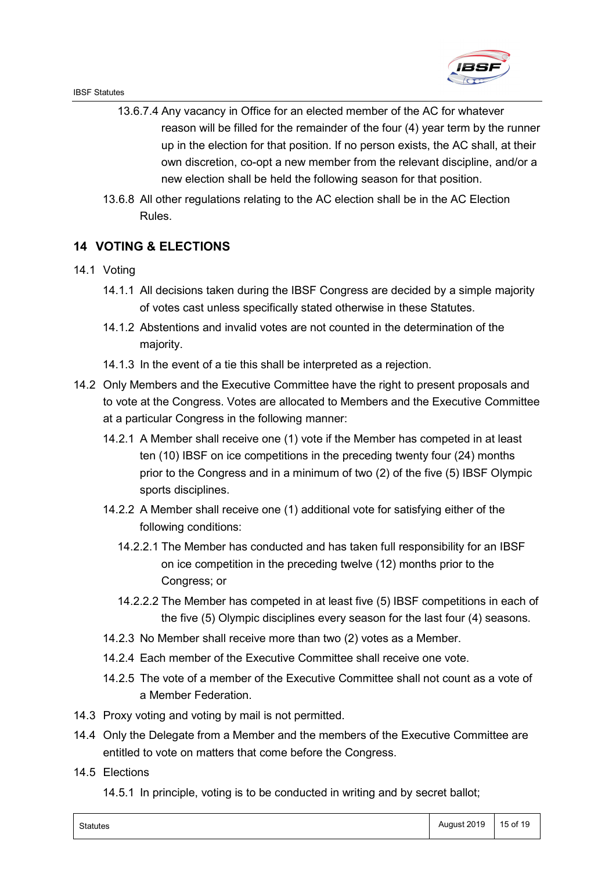

- 13.6.7.4 Any vacancy in Office for an elected member of the AC for whatever reason will be filled for the remainder of the four (4) year term by the runner up in the election for that position. If no person exists, the AC shall, at their own discretion, co-opt a new member from the relevant discipline, and/or a new election shall be held the following season for that position.
- 13.6.8 All other regulations relating to the AC election shall be in the AC Election Rules.

#### 14 VOTING & ELECTIONS

- 14.1 Voting
	- 14.1.1 All decisions taken during the IBSF Congress are decided by a simple majority of votes cast unless specifically stated otherwise in these Statutes.
	- 14.1.2 Abstentions and invalid votes are not counted in the determination of the majority.
	- 14.1.3 In the event of a tie this shall be interpreted as a rejection.
- 14.2 Only Members and the Executive Committee have the right to present proposals and to vote at the Congress. Votes are allocated to Members and the Executive Committee at a particular Congress in the following manner:
	- 14.2.1 A Member shall receive one (1) vote if the Member has competed in at least ten (10) IBSF on ice competitions in the preceding twenty four (24) months prior to the Congress and in a minimum of two (2) of the five (5) IBSF Olympic sports disciplines.
	- 14.2.2 A Member shall receive one (1) additional vote for satisfying either of the following conditions:
		- 14.2.2.1 The Member has conducted and has taken full responsibility for an IBSF on ice competition in the preceding twelve (12) months prior to the Congress; or
		- 14.2.2.2 The Member has competed in at least five (5) IBSF competitions in each of the five (5) Olympic disciplines every season for the last four (4) seasons.
	- 14.2.3 No Member shall receive more than two (2) votes as a Member.
	- 14.2.4 Each member of the Executive Committee shall receive one vote.
	- 14.2.5 The vote of a member of the Executive Committee shall not count as a vote of a Member Federation.
- 14.3 Proxy voting and voting by mail is not permitted.
- 14.4 Only the Delegate from a Member and the members of the Executive Committee are entitled to vote on matters that come before the Congress.
- 14.5 Elections
	- 14.5.1 In principle, voting is to be conducted in writing and by secret ballot;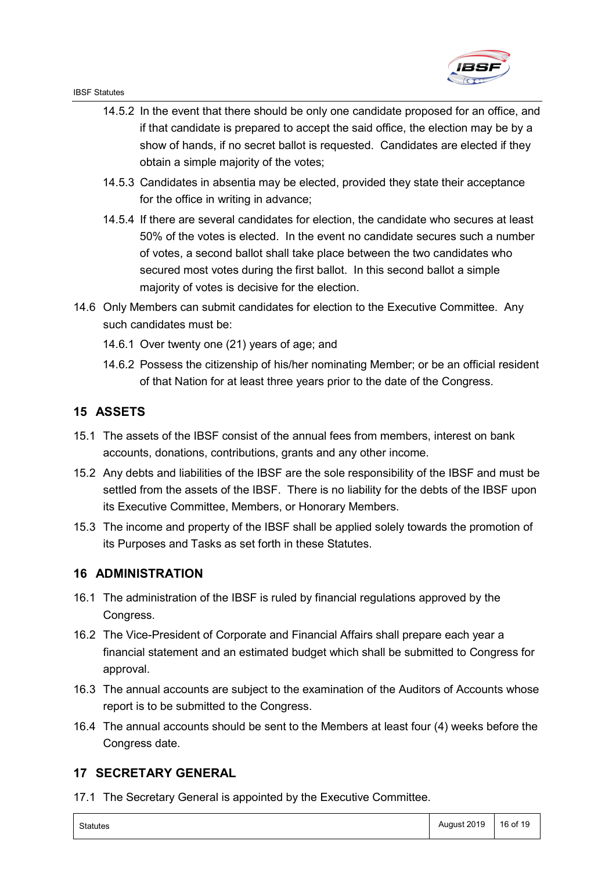

- 14.5.2 In the event that there should be only one candidate proposed for an office, and if that candidate is prepared to accept the said office, the election may be by a show of hands, if no secret ballot is requested. Candidates are elected if they obtain a simple majority of the votes;
- 14.5.3 Candidates in absentia may be elected, provided they state their acceptance for the office in writing in advance;
- 14.5.4 If there are several candidates for election, the candidate who secures at least 50% of the votes is elected. In the event no candidate secures such a number of votes, a second ballot shall take place between the two candidates who secured most votes during the first ballot. In this second ballot a simple majority of votes is decisive for the election.
- 14.6 Only Members can submit candidates for election to the Executive Committee. Any such candidates must be:
	- 14.6.1 Over twenty one (21) years of age; and
	- 14.6.2 Possess the citizenship of his/her nominating Member; or be an official resident of that Nation for at least three years prior to the date of the Congress.

#### 15 ASSETS

- 15.1 The assets of the IBSF consist of the annual fees from members, interest on bank accounts, donations, contributions, grants and any other income.
- 15.2 Any debts and liabilities of the IBSF are the sole responsibility of the IBSF and must be settled from the assets of the IBSF. There is no liability for the debts of the IBSF upon its Executive Committee, Members, or Honorary Members.
- 15.3 The income and property of the IBSF shall be applied solely towards the promotion of its Purposes and Tasks as set forth in these Statutes.

#### 16 ADMINISTRATION

- 16.1 The administration of the IBSF is ruled by financial regulations approved by the Congress.
- 16.2 The Vice-President of Corporate and Financial Affairs shall prepare each year a financial statement and an estimated budget which shall be submitted to Congress for approval.
- 16.3 The annual accounts are subject to the examination of the Auditors of Accounts whose report is to be submitted to the Congress.
- 16.4 The annual accounts should be sent to the Members at least four (4) weeks before the Congress date.

#### 17 SECRETARY GENERAL

17.1 The Secretary General is appointed by the Executive Committee.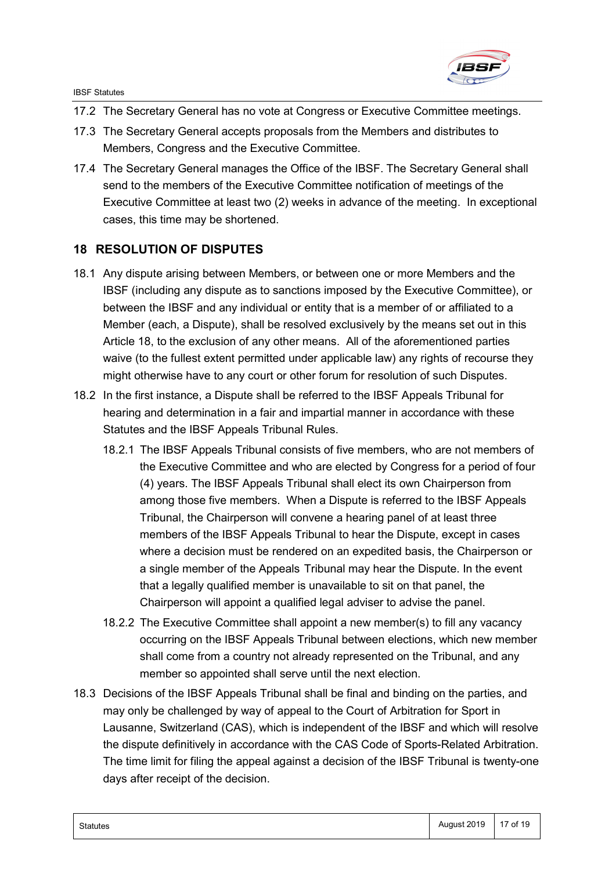

- 17.2 The Secretary General has no vote at Congress or Executive Committee meetings.
- 17.3 The Secretary General accepts proposals from the Members and distributes to Members, Congress and the Executive Committee.
- 17.4 The Secretary General manages the Office of the IBSF. The Secretary General shall send to the members of the Executive Committee notification of meetings of the Executive Committee at least two (2) weeks in advance of the meeting. In exceptional cases, this time may be shortened.

# 18 RESOLUTION OF DISPUTES

- 18.1 Any dispute arising between Members, or between one or more Members and the IBSF (including any dispute as to sanctions imposed by the Executive Committee), or between the IBSF and any individual or entity that is a member of or affiliated to a Member (each, a Dispute), shall be resolved exclusively by the means set out in this Article 18, to the exclusion of any other means. All of the aforementioned parties waive (to the fullest extent permitted under applicable law) any rights of recourse they might otherwise have to any court or other forum for resolution of such Disputes.
- 18.2 In the first instance, a Dispute shall be referred to the IBSF Appeals Tribunal for hearing and determination in a fair and impartial manner in accordance with these Statutes and the IBSF Appeals Tribunal Rules.
	- 18.2.1 The IBSF Appeals Tribunal consists of five members, who are not members of the Executive Committee and who are elected by Congress for a period of four (4) years. The IBSF Appeals Tribunal shall elect its own Chairperson from among those five members. When a Dispute is referred to the IBSF Appeals Tribunal, the Chairperson will convene a hearing panel of at least three members of the IBSF Appeals Tribunal to hear the Dispute, except in cases where a decision must be rendered on an expedited basis, the Chairperson or a single member of the Appeals Tribunal may hear the Dispute. In the event that a legally qualified member is unavailable to sit on that panel, the Chairperson will appoint a qualified legal adviser to advise the panel.
	- 18.2.2 The Executive Committee shall appoint a new member(s) to fill any vacancy occurring on the IBSF Appeals Tribunal between elections, which new member shall come from a country not already represented on the Tribunal, and any member so appointed shall serve until the next election.
- 18.3 Decisions of the IBSF Appeals Tribunal shall be final and binding on the parties, and may only be challenged by way of appeal to the Court of Arbitration for Sport in Lausanne, Switzerland (CAS), which is independent of the IBSF and which will resolve the dispute definitively in accordance with the CAS Code of Sports-Related Arbitration. The time limit for filing the appeal against a decision of the IBSF Tribunal is twenty-one days after receipt of the decision.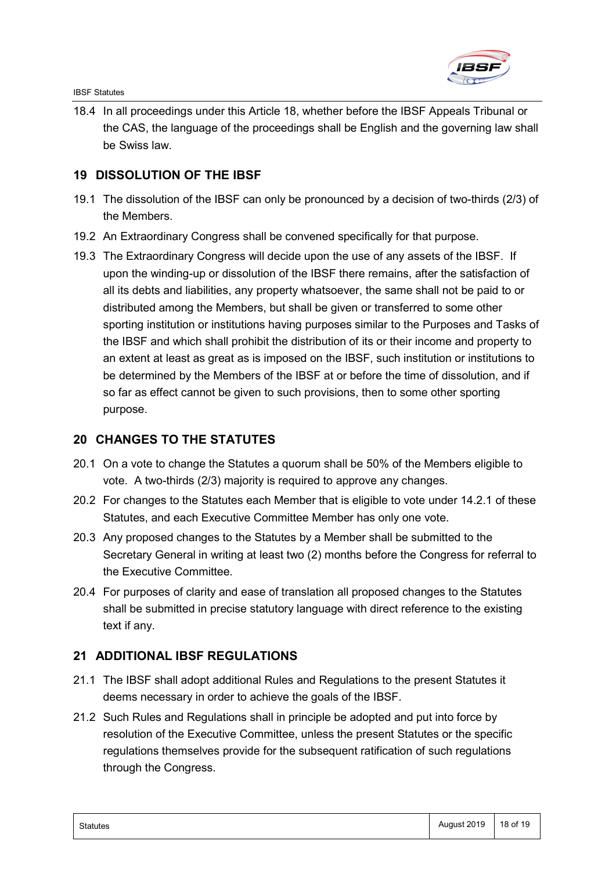

18.4 In all proceedings under this Article 18, whether before the IBSF Appeals Tribunal or the CAS, the language of the proceedings shall be English and the governing law shall be Swiss law.

#### 19 DISSOLUTION OF THE IBSF

- 19.1 The dissolution of the IBSF can only be pronounced by a decision of two-thirds (2/3) of the Members.
- 19.2 An Extraordinary Congress shall be convened specifically for that purpose.
- 19.3 The Extraordinary Congress will decide upon the use of any assets of the IBSF. If upon the winding-up or dissolution of the IBSF there remains, after the satisfaction of all its debts and liabilities, any property whatsoever, the same shall not be paid to or distributed among the Members, but shall be given or transferred to some other sporting institution or institutions having purposes similar to the Purposes and Tasks of the IBSF and which shall prohibit the distribution of its or their income and property to an extent at least as great as is imposed on the IBSF, such institution or institutions to be determined by the Members of the IBSF at or before the time of dissolution, and if so far as effect cannot be given to such provisions, then to some other sporting purpose.

# 20 CHANGES TO THE STATUTES

- 20.1 On a vote to change the Statutes a quorum shall be 50% of the Members eligible to vote. A two-thirds (2/3) majority is required to approve any changes.
- 20.2 For changes to the Statutes each Member that is eligible to vote under 14.2.1 of these Statutes, and each Executive Committee Member has only one vote.
- 20.3 Any proposed changes to the Statutes by a Member shall be submitted to the Secretary General in writing at least two (2) months before the Congress for referral to the Executive Committee.
- 20.4 For purposes of clarity and ease of translation all proposed changes to the Statutes shall be submitted in precise statutory language with direct reference to the existing text if any.

# 21 ADDITIONAL IBSF REGULATIONS

- 21.1 The IBSF shall adopt additional Rules and Regulations to the present Statutes it deems necessary in order to achieve the goals of the IBSF.
- 21.2 Such Rules and Regulations shall in principle be adopted and put into force by resolution of the Executive Committee, unless the present Statutes or the specific regulations themselves provide for the subsequent ratification of such regulations through the Congress.